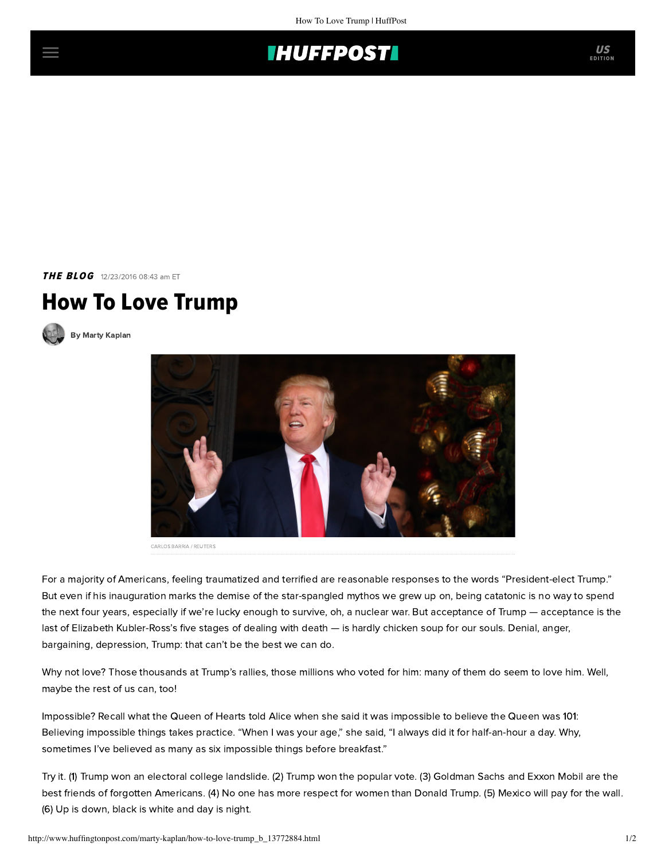

**THE BLOG** 12/23/2016 08:43 am ET

## How To Love Trump



[By Marty Kaplan](http://www.huffingtonpost.com/author/marty-kaplan)



CARLOS BARRIA / REUTERS

For a majority of Americans, feeling traumatized and terrified are reasonable responses to the words "President-elect Trump." But even if his inauguration marks the demise of the star-spangled mythos we grew up on, being catatonic is no way to spend the next four years, especially if we're lucky enough to survive, oh, a nuclear war. But acceptance of Trump — acceptance is the last of Elizabeth Kubler-Ross's five stages of dealing with death — is hardly chicken soup for our souls. Denial, anger, bargaining, depression, Trump: that can't be the best we can do.

Why not love? Those thousands at Trump's rallies, those millions who voted for him: many of them do seem to love him. Well, maybe the rest of us can, too!

Impossible? Recall what the Queen of Hearts told Alice when she said it was impossible to believe the Queen was 101: Believing impossible things takes practice. "When I was your age," she said, "I always did it for half-an-hour a day. Why, sometimes I've believed as many as six impossible things before breakfast."

Try it. (1) Trump won an electoral college landslide. (2) Trump won the popular vote. (3) Goldman Sachs and Exxon Mobil are the best friends of forgotten Americans. (4) No one has more respect for women than Donald Trump. (5) Mexico will pay for the wall. (6) Up is down, black is white and day is night.